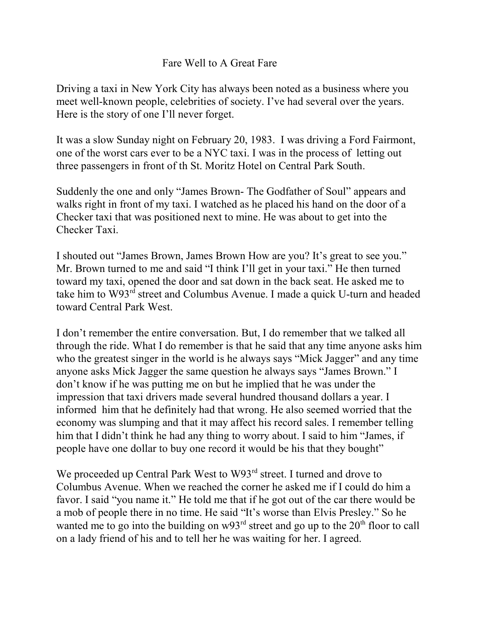## Fare Well to A Great Fare

Driving a taxi in New York City has always been noted as a business where you meet well-known people, celebrities of society. I've had several over the years. Here is the story of one I'll never forget.

It was a slow Sunday night on February 20, 1983. I was driving a Ford Fairmont, one of the worst cars ever to be a NYC taxi. I was in the process of letting out three passengers in front of th St. Moritz Hotel on Central Park South.

Suddenly the one and only "James Brown- The Godfather of Soul" appears and walks right in front of my taxi. I watched as he placed his hand on the door of a Checker taxi that was positioned next to mine. He was about to get into the Checker Taxi.

I shouted out "James Brown, James Brown How are you? It's great to see you." Mr. Brown turned to me and said "I think I'll get in your taxi." He then turned toward my taxi, opened the door and sat down in the back seat. He asked me to take him to W93<sup>rd</sup> street and Columbus Avenue. I made a quick U-turn and headed toward Central Park West.

I don't remember the entire conversation. But, I do remember that we talked all through the ride. What I do remember is that he said that any time anyone asks him who the greatest singer in the world is he always says "Mick Jagger" and any time anyone asks Mick Jagger the same question he always says "James Brown." I don't know if he was putting me on but he implied that he was under the impression that taxi drivers made several hundred thousand dollars a year. I informed him that he definitely had that wrong. He also seemed worried that the economy was slumping and that it may affect his record sales. I remember telling him that I didn't think he had any thing to worry about. I said to him "James, if people have one dollar to buy one record it would be his that they bought"

We proceeded up Central Park West to W93<sup>rd</sup> street. I turned and drove to Columbus Avenue. When we reached the corner he asked me if I could do him a favor. I said "you name it." He told me that if he got out of the car there would be a mob of people there in no time. He said "It's worse than Elvis Presley." So he wanted me to go into the building on  $w93<sup>rd</sup>$  street and go up to the  $20<sup>th</sup>$  floor to call on a lady friend of his and to tell her he was waiting for her. I agreed.